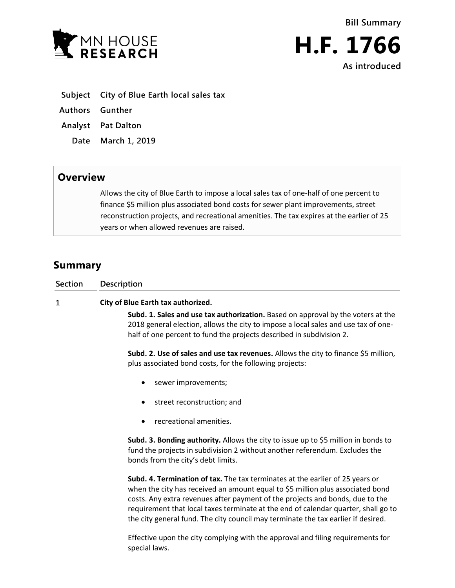



- **Subject City of Blue Earth local sales tax**
- **Authors Gunther**
- **Analyst Pat Dalton**
	- **Date March 1, 2019**

## **Overview**

Allows the city of Blue Earth to impose a local sales tax of one-half of one percent to finance \$5 million plus associated bond costs for sewer plant improvements, street reconstruction projects, and recreational amenities. The tax expires at the earlier of 25 years or when allowed revenues are raised.

## **Summary**

| Section | Description                                                                                                                                                                                                                                                                                                                                                                                                                 |
|---------|-----------------------------------------------------------------------------------------------------------------------------------------------------------------------------------------------------------------------------------------------------------------------------------------------------------------------------------------------------------------------------------------------------------------------------|
| 1       | City of Blue Earth tax authorized.<br>Subd. 1. Sales and use tax authorization. Based on approval by the voters at the<br>2018 general election, allows the city to impose a local sales and use tax of one-<br>half of one percent to fund the projects described in subdivision 2.                                                                                                                                        |
|         | Subd. 2. Use of sales and use tax revenues. Allows the city to finance \$5 million,<br>plus associated bond costs, for the following projects:                                                                                                                                                                                                                                                                              |
|         | sewer improvements;                                                                                                                                                                                                                                                                                                                                                                                                         |
|         | street reconstruction; and                                                                                                                                                                                                                                                                                                                                                                                                  |
|         | recreational amenities.                                                                                                                                                                                                                                                                                                                                                                                                     |
|         | Subd. 3. Bonding authority. Allows the city to issue up to \$5 million in bonds to<br>fund the projects in subdivision 2 without another referendum. Excludes the<br>bonds from the city's debt limits.                                                                                                                                                                                                                     |
|         | Subd. 4. Termination of tax. The tax terminates at the earlier of 25 years or<br>when the city has received an amount equal to \$5 million plus associated bond<br>costs. Any extra revenues after payment of the projects and bonds, due to the<br>requirement that local taxes terminate at the end of calendar quarter, shall go to<br>the city general fund. The city council may terminate the tax earlier if desired. |
|         | Effective upon the city complying with the approval and filing requirements for<br>special laws.                                                                                                                                                                                                                                                                                                                            |